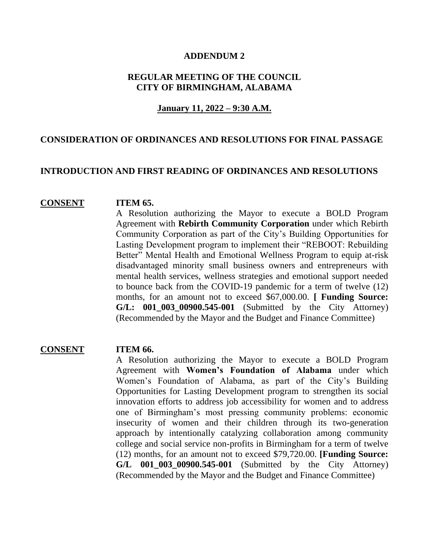#### **ADDENDUM 2**

# **REGULAR MEETING OF THE COUNCIL CITY OF BIRMINGHAM, ALABAMA**

## **January 11, 2022 – 9:30 A.M.**

# **CONSIDERATION OF ORDINANCES AND RESOLUTIONS FOR FINAL PASSAGE**

## **INTRODUCTION AND FIRST READING OF ORDINANCES AND RESOLUTIONS**

#### **CONSENT ITEM 65.**

A Resolution authorizing the Mayor to execute a BOLD Program Agreement with **Rebirth Community Corporation** under which Rebirth Community Corporation as part of the City's Building Opportunities for Lasting Development program to implement their "REBOOT: Rebuilding Better" Mental Health and Emotional Wellness Program to equip at-risk disadvantaged minority small business owners and entrepreneurs with mental health services, wellness strategies and emotional support needed to bounce back from the COVID-19 pandemic for a term of twelve (12) months, for an amount not to exceed \$67,000.00. **[ Funding Source: G/L: 001\_003\_00900.545-001** (Submitted by the City Attorney) (Recommended by the Mayor and the Budget and Finance Committee)

### **CONSENT ITEM 66.**

A Resolution authorizing the Mayor to execute a BOLD Program Agreement with **Women's Foundation of Alabama** under which Women's Foundation of Alabama, as part of the City's Building Opportunities for Lasting Development program to strengthen its social innovation efforts to address job accessibility for women and to address one of Birmingham's most pressing community problems: economic insecurity of women and their children through its two-generation approach by intentionally catalyzing collaboration among community college and social service non-profits in Birmingham for a term of twelve (12) months, for an amount not to exceed \$79,720.00. **[Funding Source: G/L 001\_003\_00900.545-001** (Submitted by the City Attorney) (Recommended by the Mayor and the Budget and Finance Committee)